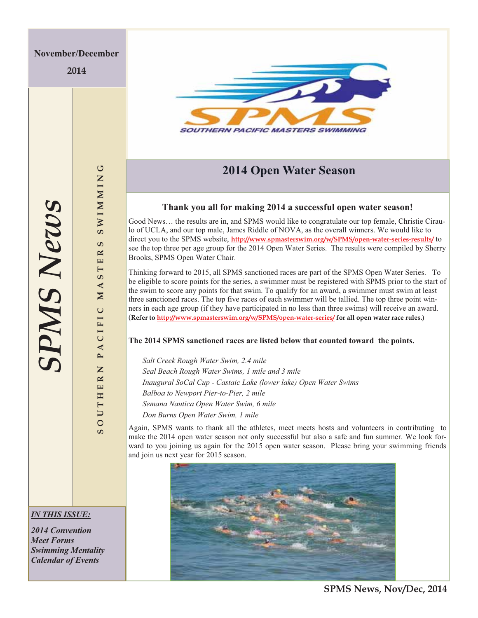**2014** 



## **2014 Open Water Season**

### **Thank you all for making 2014 a successful open water season!**

Good News… the results are in, and SPMS would like to congratulate our top female, Christie Ciraulo of UCLA, and our top male, James Riddle of NOVA, as the overall winners. We would like to direct you to the SPMS website, **http://www.spmasterswim.org/w/SPMS/open-water-series-results/** to see the top three per age group for the 2014 Open Water Series. The results were compiled by Sherry Brooks, SPMS Open Water Chair.

Thinking forward to 2015, all SPMS sanctioned races are part of the SPMS Open Water Series. To be eligible to score points for the series, a swimmer must be registered with SPMS prior to the start of the swim to score any points for that swim. To qualify for an award, a swimmer must swim at least three sanctioned races. The top five races of each swimmer will be tallied. The top three point winners in each age group (if they have participated in no less than three swims) will receive an award. (**Refer to http://www.spmasterswim.org/w/SPMS/open-water-series/ for all open water race rules.)** 

### **The 2014 SPMS sanctioned races are listed below that counted toward the points.**

*Salt Creek Rough Water Swim, 2.4 mile Seal Beach Rough Water Swims, 1 mile and 3 mile Inaugural SoCal Cup - Castaic Lake (lower lake) Open Water Swims Balboa to Newport Pier-to-Pier, 2 mile Semana Nautica Open Water Swim, 6 mile Don Burns Open Water Swim, 1 mile* 

Again, SPMS wants to thank all the athletes, meet meets hosts and volunteers in contributing to make the 2014 open water season not only successful but also a safe and fun summer. We look forward to you joining us again for the 2015 open water season. Please bring your swimming friends and join us next year for 2015 season.



**SPMS News, Nov/Dec, 2014** 

**SOUTHERN PACIFIC MASTERS SWIMMING**

CIFIC

 $P$  A

Z

OUTHER

ಀ

**SWIMMIN** 

ശ  $\mathbf{R}$  $\mathbf{H}$ Η ဖာ  $\blacktriangleleft$  $\overline{\mathbf{M}}$ 

### *IN THIS ISSUE:*

*2014 Convention Meet Forms Swimming Mentality Calendar of Events*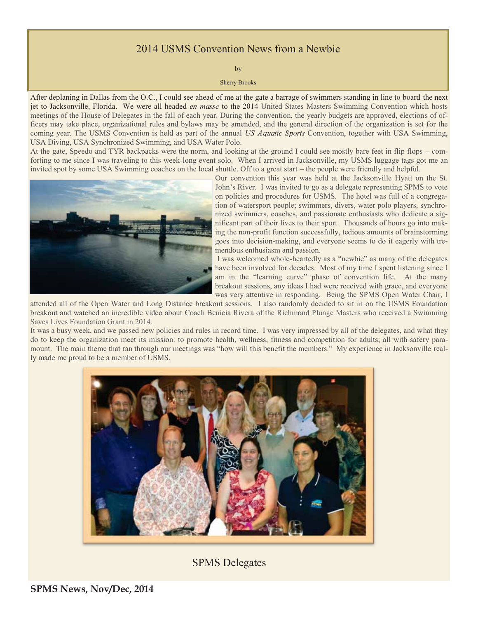## 2014 USMS Convention News from a Newbie

by

Sherry Brooks

After deplaning in Dallas from the O.C., I could see ahead of me at the gate a barrage of swimmers standing in line to board the next jet to Jacksonville, Florida. We were all headed *en masse* to the 2014 United States Masters Swimming Convention which hosts meetings of the House of Delegates in the fall of each year. During the convention, the yearly budgets are approved, elections of officers may take place, organizational rules and bylaws may be amended, and the general direction of the organization is set for the coming year. The USMS Convention is held as part of the annual *US Aquatic Sports* Convention, together with USA Swimming, USA Diving, USA Synchronized Swimming, and USA Water Polo.

At the gate, Speedo and TYR backpacks were the norm, and looking at the ground I could see mostly bare feet in flip flops – comforting to me since I was traveling to this week-long event solo. When I arrived in Jacksonville, my USMS luggage tags got me an invited spot by some USA Swimming coaches on the local shuttle. Off to a great start – the people were friendly and helpful.



Our convention this year was held at the Jacksonville Hyatt on the St. John's River. I was invited to go as a delegate representing SPMS to vote on policies and procedures for USMS. The hotel was full of a congregation of watersport people; swimmers, divers, water polo players, synchronized swimmers, coaches, and passionate enthusiasts who dedicate a significant part of their lives to their sport. Thousands of hours go into making the non-profit function successfully, tedious amounts of brainstorming goes into decision-making, and everyone seems to do it eagerly with tremendous enthusiasm and passion.

 I was welcomed whole-heartedly as a "newbie" as many of the delegates have been involved for decades. Most of my time I spent listening since I am in the "learning curve" phase of convention life. At the many breakout sessions, any ideas I had were received with grace, and everyone was very attentive in responding. Being the SPMS Open Water Chair, I

attended all of the Open Water and Long Distance breakout sessions. I also randomly decided to sit in on the USMS Foundation breakout and watched an incredible video about Coach Benicia Rivera of the Richmond Plunge Masters who received a Swimming Saves Lives Foundation Grant in 2014.

It was a busy week, and we passed new policies and rules in record time. I was very impressed by all of the delegates, and what they do to keep the organization meet its mission: to promote health, wellness, fitness and competition for adults; all with safety paramount. The main theme that ran through our meetings was "how will this benefit the members." My experience in Jacksonville really made me proud to be a member of USMS.



## SPMS Delegates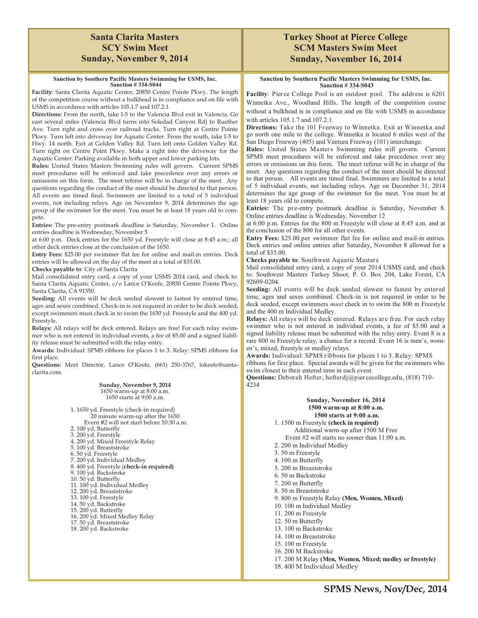### **Santa Clarita Masters SCY Swim Meet Sunday, November 9, 2014**

#### **Sanction by Southern Pacific Masters Swimming for USMS, Inc. Sanction # 334-S044**

**Facility**: Santa Clarita Aquatic Center, 20850 Centre Pointe Pkwy. The length of the competition course without a bulkhead is in compliance and on file with USMS in accordance with articles 105.1.7 and 107.2.1.

**Directions:** From the north, take I-5 to the Valencia Blvd exit in Valencia. Go east several miles (Valencia Blvd turns into Soledad Canyon Rd) to Ruether Ave. Turn right and cross over railroad tracks. Turn right at Centre Pointe Pkwy. Turn left into driveway for Aquatic Center. From the south, take I-5 to Hwy. 14 north. Exit at Golden Valley Rd. Turn left onto Golden Valley Rd. Turn right on Centre Point Pkwy. Make a right into the driveway for the Aquatic Center. Parking available in both upper and lower parking lots.

**Rules:** United States Masters Swimming rules will govern. Current SPMS meet procedures will be enforced and take precedence over any errors or omissions on this form. The meet referee will be in charge of the meet. Any questions regarding the conduct of the meet should be directed to that person. All events are timed final. Swimmers are limited to a total of 5 individual events, not including relays. Age on November 9, 2014 determines the age group of the swimmer for the meet. You must be at least 18 years old to compete.

**Entries:** The pre-entry postmark deadline is Saturday, November 1. Online entries deadline is Wednesday, November 5

at 6:00 p.m. Deck entries for the 1650 yd. Freestyle will close at 8:45 a.m.; all other deck entries close at the conclusion of the 1650.

**Entry Fees:** \$25.00 per swimmer flat fee for online and mail-in entries. Deck entries will be allowed on the day of the meet at a total of \$35.00.

**Checks payable to**: City of Santa Clarita

Mail consolidated entry card, a copy of your USMS 2014 card, and check to: Santa Clarita Aquatic Center, c/o Lance O'Keefe, 20850 Centre Pointe Pkwy, Santa Clarita, CA 91350.

**Seeding:** All events will be deck seeded slowest to fastest by entered time, ages and sexes combined. Check-in is not required in order to be deck seeded, except swimmers must check in to swim the 1650 yd. Freestyle and the 400 yd. Freestyle.

**Relays:** All relays will be deck entered. Relays are free! For each relay swimmer who is not entered in individual events, a fee of \$5.00 and a signed liability release must be submitted with the relay entry.

**Awards:** Individual: SPMS ribbons for places 1 to 3. Relay: SPMS ribbons for first place.

**Questions:** Meet Director, Lance O'Keefe, (661) 250-3767, lokeefe@santaclarita.com.

> **Sunday, November 9, 2014**  1650 warm-up at 8:00 a.m. 1650 starts at 9:00 a.m.

1. 1650 yd. Freestyle (check-in required) 20 minute warm-up after the 1650 Event #2 will not start before 10:30 a.m. 2. 100 yd. Butterfly 3. 200 yd. Freestyle 4. 200 yd. Mixed Freestyle Relay 5. 100 yd. Breaststroke 6. 50 yd. Freestyle 7. 200 yd. Individual Medley 8. 400 yd. Freestyle (**check-in required)**  9. 100 yd. Backstroke 10. 50 yd. Butterfly 11. 100 yd. Individual Medley 12. 200 yd. Breaststroke 13. 100 yd. Freestyle 14. 50 yd. Backstroke 15. 200 yd. Butterfly 16. 200 yd. Mixed Medley Relay 17. 50 yd. Breaststroke 18. 200 yd. Backstroke

### **Turkey Shoot at Pierce College SCM Masters Swim Meet Sunday, November 16, 2014**

#### **Sanction by Southern Pacific Masters Swimming for USMS, Inc. Sanction # 334-S043**

**Facility**: Pierce College Pool is an outdoor pool. The address is 6201 Winnetka Ave., Woodland Hills. The length of the competition course without a bulkhead is in compliance and on file with USMS in accordance with articles 105.1.7 and 107.2.1.

**Directions:** Take the 101 Freeway to Winnetka. Exit at Winnetka and go north one mile to the college. Winnetka is located 6 miles west of the San Diego Freeway (405) and Ventura Freeway (101) interchange.

**Rules:** United States Masters Swimming rules will govern. Current SPMS meet procedures will be enforced and take precedence over any errors or omissions on this form. The meet referee will be in charge of the meet. Any questions regarding the conduct of the meet should be directed to that person. All events are timed final. Swimmers are limited to a total of 5 individual events, not including relays. Age on December 31, 2014 determines the age group of the swimmer for the meet. You must be at least 18 years old to compete.

**Entries:** The pre-entry postmark deadline is Saturday, November 8. Online entries deadline is Wednesday, November 12

at 6:00 p.m. Entries for the 800 m Freestyle will close at 8:45 a.m. and at the conclusion of the 800 for all other events.

**Entry Fees:** \$25.00 per swimmer flat fee for online and mail-in entries. Deck entries and online entries after Saturday, November 8 allowed for a total of \$35.00.

**Checks payable to**: Southwest Aquatic Masters

Mail consolidated entry card, a copy of your 2014 USMS card, and check to: Southwest Masters Turkey Shoot, P. O. Box 204, Lake Forest, CA 92609-0204.

**Seeding:** All events will be deck seeded slowest to fastest by entered time, ages and sexes combined. Check-in is not required in order to be deck seeded, except swimmers *must* check in to swim the 800 m Freestyle and the 400 m Individual Medley.

**Relays:** All relays will be deck entered. Relays are free. For each relay swimmer who is not entered in individual events, a fee of \$5.00 and a signed liability release must be submitted with the relay entry. Event 8 is a rare 800 m Freestyle relay, a chance for a record. Event 16 is men's, women's, mixed, freestyle or medley relays.

**Awards:** Individual: SPMS ribbons for places 1 to 3. Relay: SPMS ribbons for first place. Special awards will be given for the swimmers who swim closest to their entered time in each event.

**Questions:** Deborah Hefter, hefterdj@piercecollege.edu, (818) 710- 4234

#### **Sunday, November 16, 2014 1500 warm-up at 8:00 a.m. 1500 starts at 9:00 a.m.**

 1. 1500 m Freestyle **(check in required)** Additional warm-up after 1500 M Free Event #2 will starts no sooner than 11:00 a.m.

- 2. 200 m Individual Medley
- 
- 3. 50 m Freestyle
- 4. 100 m Butterfly
- 5. 200 m Breaststroke
- 6. 50 m Backstroke
- 7. 200 m Butterfly
- 8. 50 m Breaststroke
- 9. 800 m Freestyle Relay **(Men, Women, Mixed)**
- 10. 100 m Individual Medley
- 11. 200 m Freestyle
- 12. 50 m Butterfly
- 13. 100 m Backstroke
- 14. 100 m Breaststroke
- 15. 100 m Freestyle
- 16. 200 M Backstroke
- 17. 200 M Relay **(Men, Women, Mixed; medley or freestyle)**
- 18. 400 M Individual Medley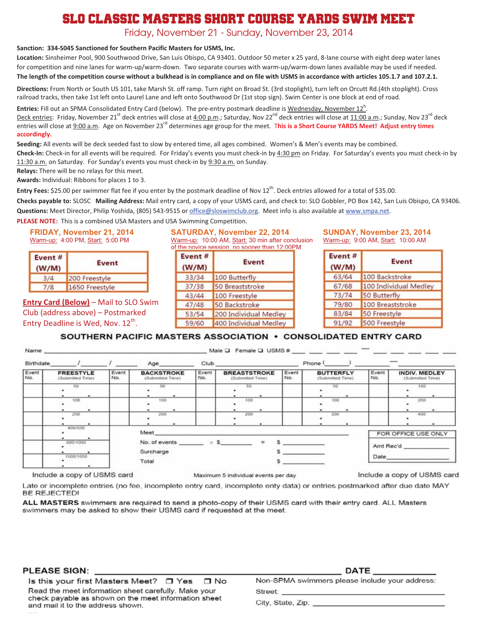# SLO Classic Masters Short Course Yards Swim Meet

Friday, November 21 - Sunday, November 23, 2014

#### **Sanction: 334-S045 Sanctioned for Southern Pacific Masters for USMS, Inc.**

**Location:** Sinsheimer Pool, 900 Southwood Drive, San Luis Obispo, CA 93401. Outdoor 50 meter x 25 yard, 8-lane course with eight deep water lanes for competition and nine lanes for warm-up/warm-down. Two separate courses with warm-up/warm-down lanes available may be used if needed. The length of the competition course without a bulkhead is in compliance and on file with USMS in accordance with articles 105.1.7 and 107.2.1.

**Directions:** From North or South US 101, take Marsh St. off ramp. Turn right on Broad St. (3rd stoplight), turn left on Orcutt Rd.(4th stoplight). Cross railroad tracks, then take 1st left onto Laurel Lane and left onto Southwood Dr (1st stop sign). Swim Center is one block at end of road.

**Entries:** Fill out an SPMA Consolidated Entry Card (below). The pre-entry postmark deadline is <u>Wednesday, November 12<sup>h</sup></u>. Deck entries: Friday, November 21<sup>st</sup> deck entries will close at 4:00 p.m.; Saturday, Nov 22<sup>nd</sup> deck entries will close at 11:00 a.m.; Sunday, Nov 23<sup>rd</sup> deck entries will close at 9:00 a.m. Age on November 23rd determines age group for the meet. T**his is a Short Course YARDS Meet! Adjust entry times accordingly.** 

**Seeding:** All events will be deck seeded fast to slow by entered time, all ages combined. Women's & Men's events may be combined. **Check-In:** Check-in for all events will be required. For Friday's events you must check-in by 4:30 pm on Friday. For Saturday's events you must check-in by 11:30 a.m. on Saturday. For Sunday's events you must check-in by 9:30 a.m. on Sunday.

**Relays:** There will be no relays for this meet.

**Awards:** Individual: Ribbons for places 1 to 3.

**Entry Fees:** \$25.00 per swimmer flat fee if you enter by the postmark deadline of Nov 12<sup>th</sup>. Deck entries allowed for a total of \$35.00.

**Checks payable to:** SLOSC **Mailing Address:** Mail entry card, a copy of your USMS card, and check to: SLO Gobbler, PO Box 142, San Luis Obispo, CA 93406. **Questions:** Meet Director, Philip Yoshida, (805) 543-9515 or office@sloswimclub.org. Meet info is also available at www.smpa.net.

**PLEASE NOTE:** This is a combined USA Masters and USA Swimming Competition.

**FRIDAY, November 21, 2014** Warm-up: 4:00 PM, Start: 5:00 PM

| Event#<br>(W/M) | Event          |  |
|-----------------|----------------|--|
|                 | 200 Freestyle  |  |
| 778             | 1650 Freestyle |  |

**Entry Card (Below)** – Mail to SLO Swim Club (address above) – Postmarked Entry Deadline is Wed, Nov.  $12^{th}$ .

**SATURDAY, November 22, 2014** Warm-up: 10:00 AM, Start: 30 min after conclusion of the novice session, no sooner than 12:00PM

| Event#<br>(W/M) | <b>Event</b>          |
|-----------------|-----------------------|
| 33/34           | 100 Butterfly         |
| 37/38           | 50 Breaststroke       |
| 43/44           | 100 Freestyle         |
| 47/48           | 50 Backstroke         |
| 53/54           | 200 Individual Medley |
| 59/60           | 400 Individual Medley |

**SUNDAY, November 23, 2014** Warm-up: 9:00 AM, Start: 10:00 AM

| Event#<br>(W/M) | <b>Event</b>          |
|-----------------|-----------------------|
| 63/64           | 100 Backstroke        |
| 67/68           | 100 Individual Medley |
| 73/74           | 50 Butterfly          |
| 79/80           | 100 Breaststroke      |
| 83/84           | 50 Freestyle          |
| 91/92           | 500 Freestyle         |

#### SOUTHERN PACIFIC MASTERS ASSOCIATION . CONSOLIDATED ENTRY CARD

| Birthdate             |                                      |              | Age                                    | Club         |                                         |              | Phone (                              |                   |                                          |
|-----------------------|--------------------------------------|--------------|----------------------------------------|--------------|-----------------------------------------|--------------|--------------------------------------|-------------------|------------------------------------------|
| Event<br>No.          | <b>FREESTYLE</b><br>(Submitted Time) | Event<br>No. | <b>BACKSTROKE</b><br>(Submitted Time)  | Event<br>No. | <b>BREASTSTROKE</b><br>(Submitted Time) | Event<br>No. | <b>BUTTERFLY</b><br>(Submitted Time) | Event<br>No.      | <b>INDIV. MEDLEY</b><br>(Submitted Time) |
|                       | 50                                   |              | 50                                     |              |                                         |              | 50                                   |                   | 100                                      |
|                       |                                      |              |                                        |              |                                         |              |                                      |                   |                                          |
|                       | 100                                  |              | 100                                    |              | 100                                     |              | 100                                  |                   | 200                                      |
|                       | 200                                  |              | 200                                    |              | 200                                     |              | 200                                  |                   | 400                                      |
|                       |                                      |              |                                        |              |                                         |              |                                      |                   |                                          |
|                       |                                      |              |                                        |              |                                         |              |                                      |                   |                                          |
|                       | 400/500                              |              | Meet                                   |              |                                         |              |                                      |                   |                                          |
|                       | ۰                                    |              |                                        |              |                                         |              |                                      |                   | FOR OFFICE USE ONLY                      |
| 800/1000<br>1500/1650 |                                      |              | No. of events $\times$ \$<br>Surcharge |              | $\equiv$                                |              |                                      | Amt Rec'd<br>Date |                                          |
|                       | 500 MP 81                            |              | Total                                  |              |                                         |              |                                      |                   |                                          |

Include a copy of USMS card

Maximum 5 individual events per day

Include a copy of USMS card

Late or incomplete entries (no fee, incomplete entry card, incomplete enty data) or entries postmarked after due date MAY BE REJECTED!

ALL MASTERS swimmers are required to send a photo-copy of their USMS card with their entry card. ALL Masters swimmers may be asked to show their USMS card if requested at the meet.

#### **PLEASE SIGN:**

 $\overline{a}$ 

Is this your first Masters Meet? □ Yes □ No Read the meet information sheet carefully. Make your check payable as shown on the meet information sheet and mail it to the address shown.

Non-SPMA swimmers please include your address:

**DATE** 

City, State, Zip:

Street: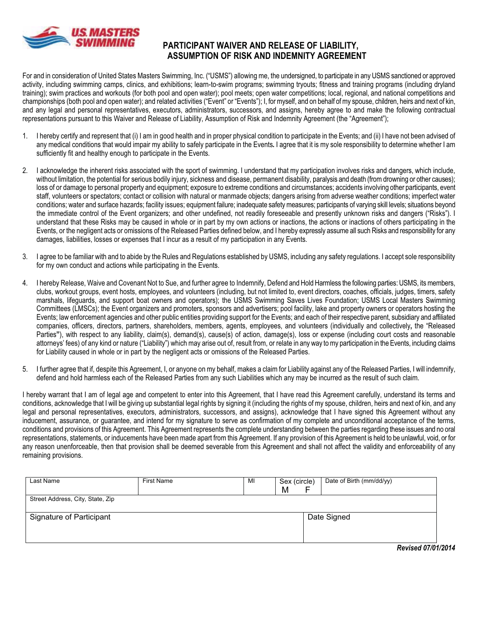

### PARTICIPANT WAIVER AND RELEASE OF LIABILITY, ASSUMPTION OF RISK AND INDEMNITY AGREEMENT

For and in consideration of United States Masters Swimming, Inc. ("USMS") allowing me, the undersigned, to participate in any USMS sanctioned or approved activity, including swimming camps, clinics, and exhibitions; learn-to-swim programs; swimming tryouts; fitness and training programs (including dryland training); swim practices and workouts (for both pool and open water); pool meets; open water competitions; local, regional, and national competitions and championships (both pool and open water); and related activities ("Event" or "Events"); I, for myself, and on behalf of my spouse, children, heirs and next of kin, and any legal and personal representatives, executors, administrators, successors, and assigns, hereby agree to and make the following contractual representations pursuant to this Waiver and Release of Liability, Assumption of Risk and Indemnity Agreement (the "Agreement");

- 1. I hereby certify and represent that (i) I am in good health and in proper physical condition to participate in the Events; and (ii) I have not been advised of any medical conditions that would impair my ability to safely participate in the Events. I agree that it is my sole responsibility to determine whether I am sufficiently fit and healthy enough to participate in the Events.
- I acknowledge the inherent risks associated with the sport of swimming. I understand that my participation involves risks and dangers, which include,  $2.$ without limitation, the potential for serious bodily injury, sickness and disease, permanent disability, paralysis and death (from drowning or other causes); loss of or damage to personal property and equipment; exposure to extreme conditions and circumstances; accidents involving other participants, event staff, volunteers or spectators; contact or collision with natural or manmade objects; dangers arising from adverse weather conditions; imperfect water conditions; water and surface hazards; facility issues; equipment failure; inadequate safety measures; participants of varying skill levels; situations beyond the immediate control of the Event organizers; and other undefined, not readily foreseeable and presently unknown risks and dangers ("Risks"). I understand that these Risks may be caused in whole or in part by my own actions or inactions, the actions or inactions of others participating in the Events, or the negligent acts or omissions of the Released Parties defined below, and I hereby expressly assume all such Risks and responsibility for any damages, liabilities, losses or expenses that I incur as a result of my participation in any Events.
- 3. I agree to be familiar with and to abide by the Rules and Regulations established by USMS, including any safety regulations. I accept sole responsibility for my own conduct and actions while participating in the Events.
- $4<sup>1</sup>$ I hereby Release, Waive and Covenant Not to Sue, and further agree to Indemnify, Defend and Hold Harmless the following parties: USMS, its members, clubs, workout groups, event hosts, employees, and volunteers (including, but not limited to, event directors, coaches, officials, judges, timers, safety marshals, lifeguards, and support boat owners and operators); the USMS Swimming Saves Lives Foundation; USMS Local Masters Swimming Committees (LMSCs); the Event organizers and promoters, sponsors and advertisers; pool facility, lake and property owners or operators hosting the Events; law enforcement agencies and other public entities providing support for the Events; and each of their respective parent, subsidiary and affiliated companies, officers, directors, partners, shareholders, members, agents, employees, and volunteers (individually and collectively, the "Released Parties"), with respect to any liability, claim(s), demand(s), cause(s) of action, damage(s), loss or expense (including court costs and reasonable attorneys' fees) of any kind or nature ("Liability") which may arise out of, result from, or relate in any way to my participation in the Events, including claims for Liability caused in whole or in part by the negligent acts or omissions of the Released Parties.
- 5. I further agree that if, despite this Agreement, I, or anyone on my behalf, makes a claim for Liability against any of the Released Parties, I will indemnify, defend and hold harmless each of the Released Parties from any such Liabilities which any may be incurred as the result of such claim.

I hereby warrant that I am of legal age and competent to enter into this Agreement, that I have read this Agreement carefully, understand its terms and conditions, acknowledge that I will be giving up substantial legal rights by signing it (including the rights of my spouse, children, heirs and next of kin, and any legal and personal representatives, executors, administrators, successors, and assigns), acknowledge that I have signed this Agreement without any inducement, assurance, or guarantee, and intend for my signature to serve as confirmation of my complete and unconditional acceptance of the terms, conditions and provisions of this Agreement. This Agreement represents the complete understanding between the parties regarding these issues and no oral representations, statements, or inducements have been made apart from this Agreement. If any provision of this Agreement is held to be unlawful, void, or for any reason unenforceable, then that provision shall be deemed severable from this Agreement and shall not affect the validity and enforceability of any remaining provisions.

| Last Name                        | <b>First Name</b> | Sex (circle)<br>Date of Birth (mm/dd/yy)<br>MI<br>M |
|----------------------------------|-------------------|-----------------------------------------------------|
| Street Address, City, State, Zip |                   |                                                     |
| Signature of Participant         |                   | Date Signed                                         |
|                                  |                   | <b>Revised 07/01/2014</b>                           |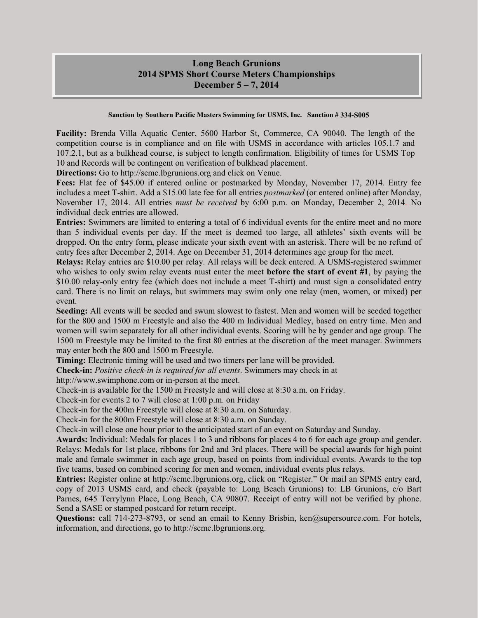### **Long Beach Grunions 2014 SPMS Short Course Meters Championships December 5 – 7, 2014**

#### **Sanction by Southern Pacific Masters Swimming for USMS, Inc. Sanction # 334-S005**

**Facility:** Brenda Villa Aquatic Center, 5600 Harbor St, Commerce, CA 90040. The length of the competition course is in compliance and on file with USMS in accordance with articles 105.1.7 and 107.2.1, but as a bulkhead course, is subject to length confirmation. Eligibility of times for USMS Top 10 and Records will be contingent on verification of bulkhead placement.

**Directions:** Go to http://scmc.lbgrunions.org and click on Venue.

**Fees:** Flat fee of \$45.00 if entered online or postmarked by Monday, November 17, 2014. Entry fee includes a meet T-shirt. Add a \$15.00 late fee for all entries *postmarked* (or entered online) after Monday, November 17, 2014. All entries *must be received* by 6:00 p.m. on Monday, December 2, 2014. No individual deck entries are allowed.

**Entries:** Swimmers are limited to entering a total of 6 individual events for the entire meet and no more than 5 individual events per day. If the meet is deemed too large, all athletes' sixth events will be dropped. On the entry form, please indicate your sixth event with an asterisk. There will be no refund of entry fees after December 2, 2014. Age on December 31, 2014 determines age group for the meet.

**Relays:** Relay entries are \$10.00 per relay. All relays will be deck entered. A USMS-registered swimmer who wishes to only swim relay events must enter the meet **before the start of event #1**, by paying the \$10.00 relay-only entry fee (which does not include a meet T-shirt) and must sign a consolidated entry card. There is no limit on relays, but swimmers may swim only one relay (men, women, or mixed) per event.

**Seeding:** All events will be seeded and swum slowest to fastest. Men and women will be seeded together for the 800 and 1500 m Freestyle and also the 400 m Individual Medley, based on entry time. Men and women will swim separately for all other individual events. Scoring will be by gender and age group. The 1500 m Freestyle may be limited to the first 80 entries at the discretion of the meet manager. Swimmers may enter both the 800 and 1500 m Freestyle.

**Timing:** Electronic timing will be used and two timers per lane will be provided.

**Check-in:** *Positive check-in is required for all events*. Swimmers may check in at

http://www.swimphone.com or in-person at the meet.

Check-in is available for the 1500 m Freestyle and will close at 8:30 a.m. on Friday.

Check-in for events 2 to 7 will close at 1:00 p.m. on Friday

Check-in for the 400m Freestyle will close at 8:30 a.m. on Saturday.

Check-in for the 800m Freestyle will close at 8:30 a.m. on Sunday.

Check-in will close one hour prior to the anticipated start of an event on Saturday and Sunday.

**Awards:** Individual: Medals for places 1 to 3 and ribbons for places 4 to 6 for each age group and gender. Relays: Medals for 1st place, ribbons for 2nd and 3rd places. There will be special awards for high point male and female swimmer in each age group, based on points from individual events. Awards to the top five teams, based on combined scoring for men and women, individual events plus relays.

**Entries:** Register online at http://scmc.lbgrunions.org, click on "Register." Or mail an SPMS entry card, copy of 2013 USMS card, and check (payable to: Long Beach Grunions) to: LB Grunions, c/o Bart Parnes, 645 Terrylynn Place, Long Beach, CA 90807. Receipt of entry will not be verified by phone. Send a SASE or stamped postcard for return receipt.

Questions: call 714-273-8793, or send an email to Kenny Brisbin, ken@supersource.com. For hotels, information, and directions, go to http://scmc.lbgrunions.org.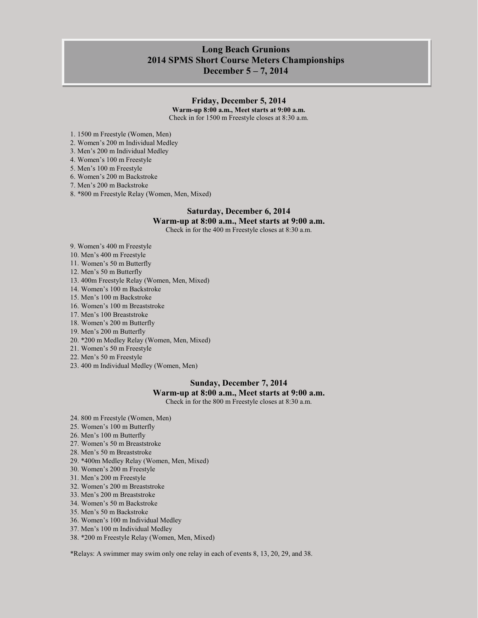### **Long Beach Grunions 2014 SPMS Short Course Meters Championships December 5 – 7, 2014**

#### **Friday, December 5, 2014**

**Warm-up 8:00 a.m., Meet starts at 9:00 a.m.** Check in for 1500 m Freestyle closes at 8:30 a.m.

1. 1500 m Freestyle (Women, Men)

2. Women's 200 m Individual Medley

3. Men's 200 m Individual Medley

4. Women's 100 m Freestyle

5. Men's 100 m Freestyle

6. Women's 200 m Backstroke

7. Men's 200 m Backstroke

8. \*800 m Freestyle Relay (Women, Men, Mixed)

#### **Saturday, December 6, 2014**

#### **Warm-up at 8:00 a.m., Meet starts at 9:00 a.m.**

Check in for the 400 m Freestyle closes at 8:30 a.m.

9. Women's 400 m Freestyle

10. Men's 400 m Freestyle

11. Women's 50 m Butterfly

12. Men's 50 m Butterfly

13. 400m Freestyle Relay (Women, Men, Mixed)

14. Women's 100 m Backstroke

15. Men's 100 m Backstroke

16. Women's 100 m Breaststroke

17. Men's 100 Breaststroke

18. Women's 200 m Butterfly

19. Men's 200 m Butterfly

20. \*200 m Medley Relay (Women, Men, Mixed)

21. Women's 50 m Freestyle

22. Men's 50 m Freestyle

23. 400 m Individual Medley (Women, Men)

#### **Sunday, December 7, 2014**

#### **Warm-up at 8:00 a.m., Meet starts at 9:00 a.m.**

Check in for the 800 m Freestyle closes at 8:30 a.m.

- 24. 800 m Freestyle (Women, Men)
- 25. Women's 100 m Butterfly

26. Men's 100 m Butterfly

27. Women's 50 m Breaststroke

28. Men's 50 m Breaststroke

29. \*400m Medley Relay (Women, Men, Mixed)

30. Women's 200 m Freestyle

31. Men's 200 m Freestyle

32. Women's 200 m Breaststroke

33. Men's 200 m Breaststroke

34. Women's 50 m Backstroke

35. Men's 50 m Backstroke

36. Women's 100 m Individual Medley

37. Men's 100 m Individual Medley

38. \*200 m Freestyle Relay (Women, Men, Mixed)

\*Relays: A swimmer may swim only one relay in each of events 8, 13, 20, 29, and 38.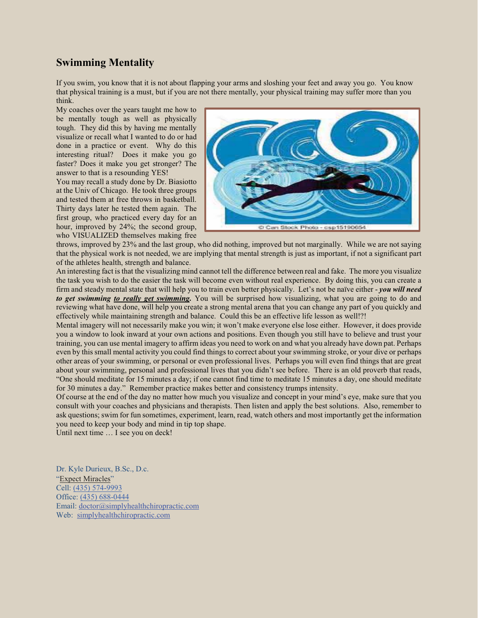## **Swimming Mentality**

If you swim, you know that it is not about flapping your arms and sloshing your feet and away you go. You know that physical training is a must, but if you are not there mentally, your physical training may suffer more than you think.

My coaches over the years taught me how to be mentally tough as well as physically tough. They did this by having me mentally visualize or recall what I wanted to do or had done in a practice or event. Why do this interesting ritual? Does it make you go faster? Does it make you get stronger? The answer to that is a resounding YES!

You may recall a study done by Dr. Biasiotto at the Univ of Chicago. He took three groups and tested them at free throws in basketball. Thirty days later he tested them again. The first group, who practiced every day for an hour, improved by 24%; the second group, who VISUALIZED themselves making free



throws, improved by 23% and the last group, who did nothing, improved but not marginally. While we are not saying that the physical work is not needed, we are implying that mental strength is just as important, if not a significant part of the athletes health, strength and balance.

An interesting fact is that the visualizing mind cannot tell the difference between real and fake. The more you visualize the task you wish to do the easier the task will become even without real experience. By doing this, you can create a firm and steady mental state that will help you to train even better physically. Let's not be naïve either - *you will need to get swimming to really get swimming.* You will be surprised how visualizing, what you are going to do and reviewing what have done, will help you create a strong mental arena that you can change any part of you quickly and effectively while maintaining strength and balance. Could this be an effective life lesson as well!?!

Mental imagery will not necessarily make you win; it won't make everyone else lose either. However, it does provide you a window to look inward at your own actions and positions. Even though you still have to believe and trust your training, you can use mental imagery to affirm ideas you need to work on and what you already have down pat. Perhaps even by this small mental activity you could find things to correct about your swimming stroke, or your dive or perhaps other areas of your swimming, or personal or even professional lives. Perhaps you will even find things that are great about your swimming, personal and professional lives that you didn't see before. There is an old proverb that reads, "One should meditate for 15 minutes a day; if one cannot find time to meditate 15 minutes a day, one should meditate for 30 minutes a day." Remember practice makes better and consistency trumps intensity.

Of course at the end of the day no matter how much you visualize and concept in your mind's eye, make sure that you consult with your coaches and physicians and therapists. Then listen and apply the best solutions. Also, remember to ask questions; swim for fun sometimes, experiment, learn, read, watch others and most importantly get the information you need to keep your body and mind in tip top shape.

Until next time … I see you on deck!

Dr. Kyle Durieux, B.Sc., D.c. "Expect Miracles" Cell: (435) 574-9993 Office: (435) 688-0444 Email: doctor@simplyhealthchiropractic.com Web: simplyhealthchiropractic.com